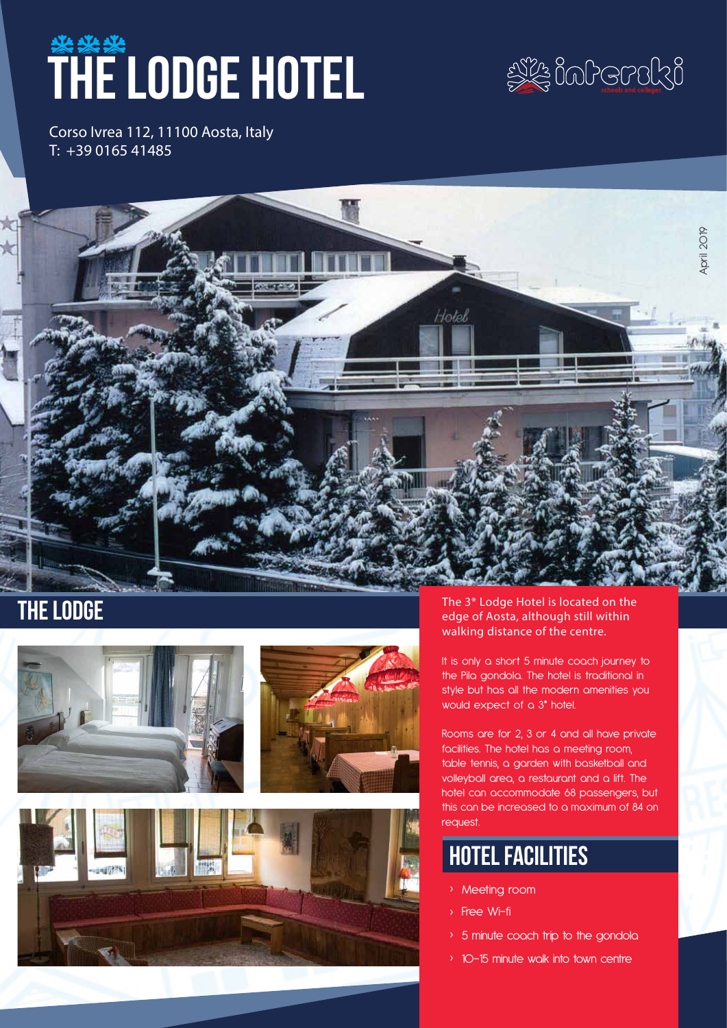# **THE LODGE HOTEL**



Corso Ivrea 112, 11100 Aosta, Italy T: +39 0165 41485







THE LODGE The 3\* Lodge Hotel is located on the edge of Aosta, although still within walking distance of the centre.

> It is only a short 5 minute coach journey to the Pila gondola. The hotel is traditional in style but has all the modern amenities you would expect of a 3\* hotel.

Rooms are for 2, 3 or 4 and all have private facilities. The hotel has a meeting room, table tennis, a garden with basketball and volleyball area, a restaurant and a lift. The hotel can accommodate 68 passengers, but this can be increased to a maximum of 84 on request.

## hotel facilities

- › Meeting room
- › Free Wi-fi
- › 5 minute coach trip to the gondola
- › 10-15 minute walk into town centre